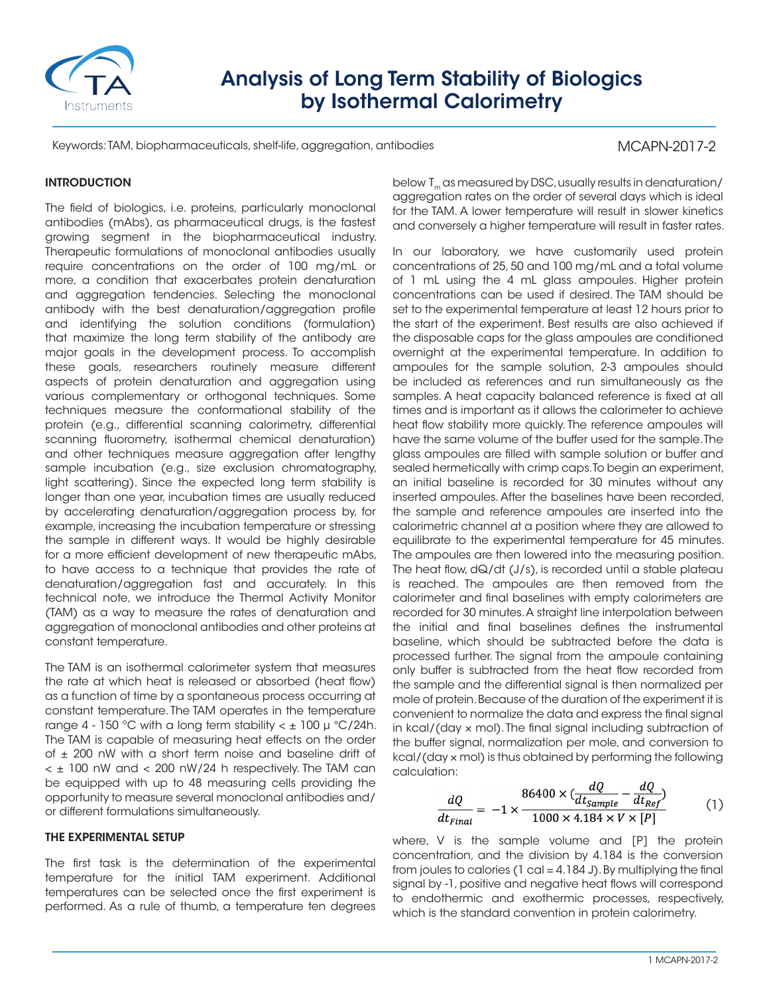

# Analysis of Long Term Stability of Biologics by Isothermal Calorimetry

Keywords: TAM, biopharmaceuticals, shelf-life, aggregation, antibodies

# MCAPN-2017-2

# **INTRODUCTION**

The field of biologics, i.e. proteins, particularly monoclonal antibodies (mAbs), as pharmaceutical drugs, is the fastest growing segment in the biopharmaceutical industry. Therapeutic formulations of monoclonal antibodies usually require concentrations on the order of 100 mg/mL or more, a condition that exacerbates protein denaturation and aggregation tendencies. Selecting the monoclonal antibody with the best denaturation/aggregation profile and identifying the solution conditions (formulation) that maximize the long term stability of the antibody are major goals in the development process. To accomplish these goals, researchers routinely measure different aspects of protein denaturation and aggregation using various complementary or orthogonal techniques. Some techniques measure the conformational stability of the protein (e.g., differential scanning calorimetry, differential scanning fluorometry, isothermal chemical denaturation) and other techniques measure aggregation after lengthy sample incubation (e.g., size exclusion chromatography, light scattering). Since the expected long term stability is longer than one year, incubation times are usually reduced by accelerating denaturation/aggregation process by, for example, increasing the incubation temperature or stressing the sample in different ways. It would be highly desirable for a more efficient development of new therapeutic mAbs, to have access to a technique that provides the rate of denaturation/aggregation fast and accurately. In this technical note, we introduce the Thermal Activity Monitor (TAM) as a way to measure the rates of denaturation and aggregation of monoclonal antibodies and other proteins at constant temperature.

The TAM is an isothermal calorimeter system that measures the rate at which heat is released or absorbed (heat flow) as a function of time by a spontaneous process occurring at constant temperature. The TAM operates in the temperature range 4 - 150 °C with a long term stability  $< \pm 100 \mu$  °C/24h. The TAM is capable of measuring heat effects on the order of ± 200 nW with a short term noise and baseline drift of  $<$   $\pm$  100 nW and  $<$  200 nW/24 h respectively. The TAM can be equipped with up to 48 measuring cells providing the opportunity to measure several monoclonal antibodies and/ or different formulations simultaneously.

## THE EXPERIMENTAL SETUP

The first task is the determination of the experimental temperature for the initial TAM experiment. Additional temperatures can be selected once the first experiment is performed. As a rule of thumb, a temperature ten degrees

below  $T_m$  as measured by DSC, usually results in denaturation/ aggregation rates on the order of several days which is ideal for the TAM. A lower temperature will result in slower kinetics and conversely a higher temperature will result in faster rates.

In our laboratory, we have customarily used protein concentrations of 25, 50 and 100 mg/mL and a total volume of 1 mL using the 4 mL glass ampoules. Higher protein concentrations can be used if desired. The TAM should be set to the experimental temperature at least 12 hours prior to the start of the experiment. Best results are also achieved if the disposable caps for the glass ampoules are conditioned overnight at the experimental temperature. In addition to ampoules for the sample solution, 2-3 ampoules should be included as references and run simultaneously as the samples. A heat capacity balanced reference is fixed at all times and is important as it allows the calorimeter to achieve heat flow stability more quickly. The reference ampoules will have the same volume of the buffer used for the sample. The glass ampoules are filled with sample solution or buffer and sealed hermetically with crimp caps. To begin an experiment, an initial baseline is recorded for 30 minutes without any inserted ampoules. After the baselines have been recorded, the sample and reference ampoules are inserted into the calorimetric channel at a position where they are allowed to equilibrate to the experimental temperature for 45 minutes. The ampoules are then lowered into the measuring position. The heat flow, dQ/dt (J/s), is recorded until a stable plateau is reached. The ampoules are then removed from the calorimeter and final baselines with empty calorimeters are recorded for 30 minutes. A straight line interpolation between the initial and final baselines defines the instrumental baseline, which should be subtracted before the data is processed further. The signal from the ampoule containing only buffer is subtracted from the heat flow recorded from the sample and the differential signal is then normalized per mole of protein. Because of the duration of the experiment it is convenient to normalize the data and express the final signal in kcal/(day × mol). The final signal including subtraction of the buffer signal, normalization per mole, and conversion to kcal/(day × mol) is thus obtained by performing the following calculation:

$$
\frac{dQ}{dt_{Final}} = -1 \times \frac{86400 \times \left(\frac{dQ}{dt_{Sample}} - \frac{dQ}{dt_{Ref}}\right)}{1000 \times 4.184 \times V \times [P]}
$$
(1)

where, V is the sample volume and [P] the protein concentration, and the division by 4.184 is the conversion from joules to calories (1 cal  $=$  4.184 J). By multiplying the final signal by -1, positive and negative heat flows will correspond to endothermic and exothermic processes, respectively, which is the standard convention in protein calorimetry.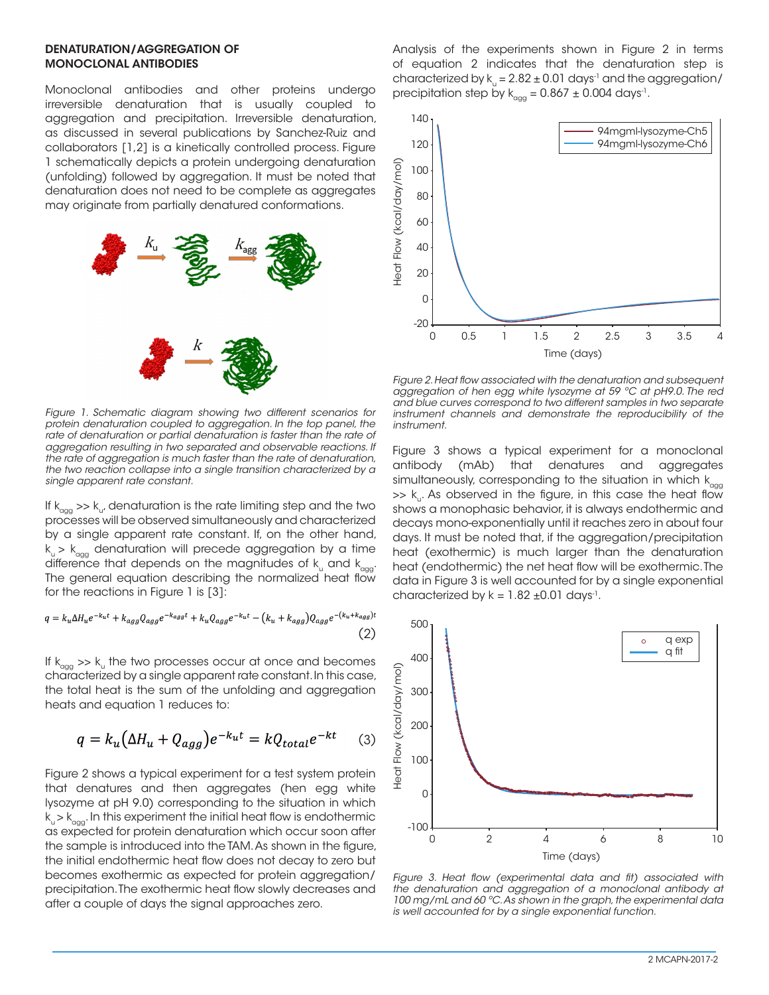#### DENATURATION/AGGREGATION OF MONOCLONAL ANTIBODIES

Monoclonal antibodies and other proteins undergo irreversible denaturation that is usually coupled to aggregation and precipitation. Irreversible denaturation, as discussed in several publications by Sanchez-Ruiz and collaborators [1,2] is a kinetically controlled process. Figure 1 schematically depicts a protein undergoing denaturation (unfolding) followed by aggregation. It must be noted that denaturation does not need to be complete as aggregates may originate from partially denatured conformations.



*Figure 1. Schematic diagram showing two different scenarios for*  protein denaturation coupled to aggregation. In the top panel, the rate of denaturation or partial denaturation is faster than the rate of *aggregation resulting in two separated and observable reactions. If the rate of aggregation is much faster than the rate of denaturation, the two reaction collapse into a single transition characterized by a single apparent rate constant.*

If  $k_{\text{gas}} >> k_{\text{u}}$ , denaturation is the rate limiting step and the two processes will be observed simultaneously and characterized by a single apparent rate constant. If, on the other hand,  $k_{u}$  >  $k_{agg}$  denaturation will precede aggregation by a time difference that depends on the magnitudes of  $k_{u}$  and  $k_{\text{max}}$ . The general equation describing the normalized heat flow for the reactions in Figure 1 is [3]:

$$
q = k_u \Delta H_u e^{-k_u t} + k_{agg} Q_{agg} e^{-k_{agg} t} + k_u Q_{agg} e^{-k_u t} - (k_u + k_{agg}) Q_{agg} e^{-(k_u + k_{agg})t}
$$
\n<sup>(2)</sup>

If  $k_{agg}$  >>  $k_{u}$  the two processes occur at once and becomes characterized by a single apparent rate constant. In this case, the total heat is the sum of the unfolding and aggregation heats and equation 1 reduces to:

$$
q = k_u \left(\Delta H_u + Q_{agg}\right) e^{-k_u t} = k Q_{total} e^{-kt} \tag{3}
$$

Figure 2 shows a typical experiment for a test system protein that denatures and then aggregates (hen egg white lysozyme at pH 9.0) corresponding to the situation in which  $k_{u} > k_{\text{a}qq}$ . In this experiment the initial heat flow is endothermic as expected for protein denaturation which occur soon after the sample is introduced into the TAM. As shown in the figure, the initial endothermic heat flow does not decay to zero but becomes exothermic as expected for protein aggregation/ precipitation. The exothermic heat flow slowly decreases and after a couple of days the signal approaches zero.

Analysis of the experiments shown in Figure 2 in terms of equation 2 indicates that the denaturation step is characterized by  $k_{\text{u}} = 2.82 \pm 0.01$  days<sup>-1</sup> and the aggregation/ precipitation step by  $k_{\text{qqq}} = 0.867 \pm 0.004 \text{ days}^1$ .



*Figure 2. Heat flow associated with the denaturation and subsequent aggregation of hen egg white lysozyme at 59 ºC at pH9.0. The red and blue curves correspond to two different samples in two separate instrument channels and demonstrate the reproducibility of the instrument.*

Figure 3 shows a typical experiment for a monoclonal antibody (mAb) that denatures and aggregates simultaneously, corresponding to the situation in which  $k_{\text{qqq}}$  $\Rightarrow$  k<sub>u</sub>. As observed in the figure, in this case the heat flow shows a monophasic behavior, it is always endothermic and decays mono-exponentially until it reaches zero in about four days. It must be noted that, if the aggregation/precipitation heat (exothermic) is much larger than the denaturation heat (endothermic) the net heat flow will be exothermic. The data in Figure 3 is well accounted for by a single exponential characterized by  $k = 1.82 \pm 0.01$  days<sup>-1</sup>.



*Figure 3. Heat flow (experimental data and fit) associated with the denaturation and aggregation of a monoclonal antibody at 100 mg/mL and 60 ºC. As shown in the graph, the experimental data is well accounted for by a single exponential function.*